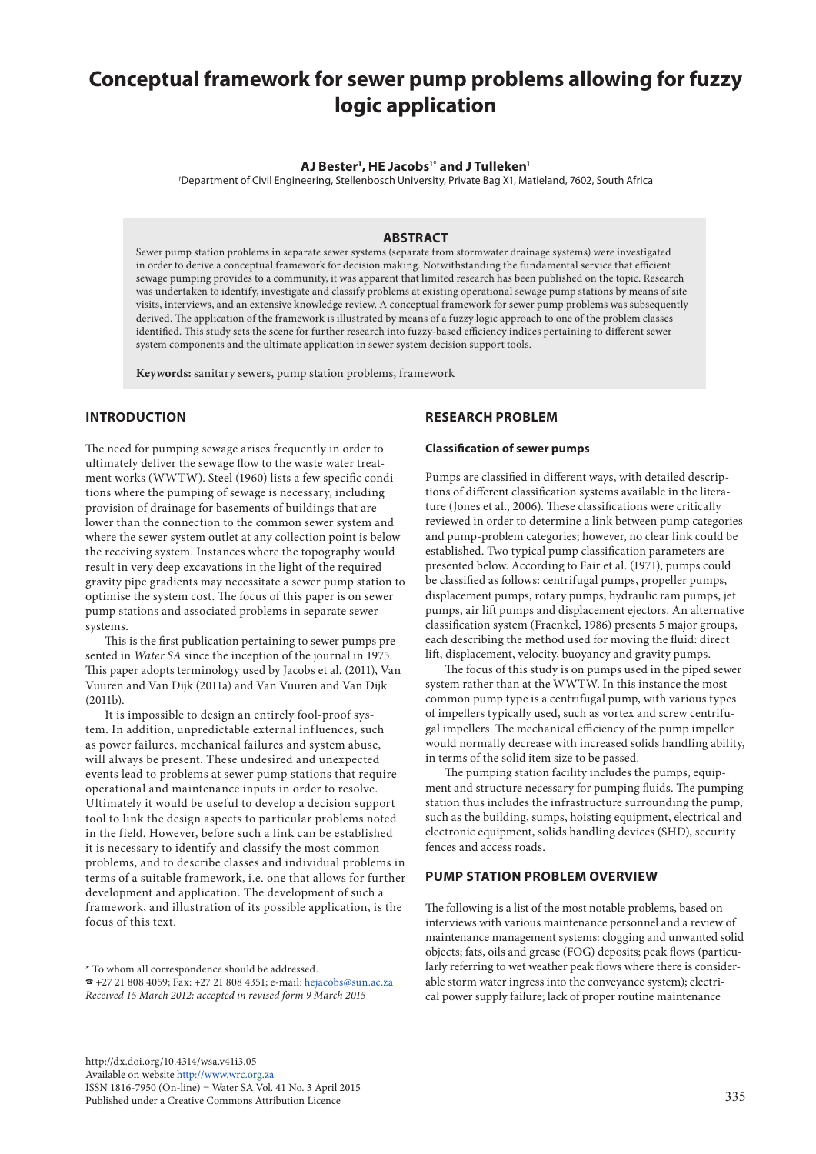# **Conceptual framework for sewer pump problems allowing for fuzzy logic application**

### **AJ Bester1 , HE Jacobs1\* and J Tulleken1**

*1* Department of Civil Engineering, Stellenbosch University, Private Bag X1, Matieland, 7602, South Africa

#### **ABSTRACT**

Sewer pump station problems in separate sewer systems (separate from stormwater drainage systems) were investigated in order to derive a conceptual framework for decision making. Notwithstanding the fundamental service that efficient sewage pumping provides to a community, it was apparent that limited research has been published on the topic. Research was undertaken to identify, investigate and classify problems at existing operational sewage pump stations by means of site visits, interviews, and an extensive knowledge review. A conceptual framework for sewer pump problems was subsequently derived. The application of the framework is illustrated by means of a fuzzy logic approach to one of the problem classes identified. This study sets the scene for further research into fuzzy-based efficiency indices pertaining to different sewer system components and the ultimate application in sewer system decision support tools.

**Keywords:** sanitary sewers, pump station problems, framework

## **INTRODUCTION**

The need for pumping sewage arises frequently in order to ultimately deliver the sewage flow to the waste water treatment works (WWTW). Steel (1960) lists a few specific conditions where the pumping of sewage is necessary, including provision of drainage for basements of buildings that are lower than the connection to the common sewer system and where the sewer system outlet at any collection point is below the receiving system. Instances where the topography would result in very deep excavations in the light of the required gravity pipe gradients may necessitate a sewer pump station to optimise the system cost. The focus of this paper is on sewer pump stations and associated problems in separate sewer systems.

This is the first publication pertaining to sewer pumps presented in *Water SA* since the inception of the journal in 1975. This paper adopts terminology used by Jacobs et al. (2011), Van Vuuren and Van Dijk (2011a) and Van Vuuren and Van Dijk (2011b).

It is impossible to design an entirely fool-proof system. In addition, unpredictable external influences, such as power failures, mechanical failures and system abuse, will always be present. These undesired and unexpected events lead to problems at sewer pump stations that require operational and maintenance inputs in order to resolve. Ultimately it would be useful to develop a decision support tool to link the design aspects to particular problems noted in the field. However, before such a link can be established it is necessary to identify and classify the most common problems, and to describe classes and individual problems in terms of a suitable framework, i.e. one that allows for further development and application. The development of such a framework, and illustration of its possible application, is the focus of this text.

\* To whom all correspondence should be addressed. ☎ +27 21 808 4059; Fax: +27 21 808 4351; e-mail: [hejacobs@sun.ac.za](mailto:hejacobs@sun.ac.za) *Received 15 March 2012; accepted in revised form 9 March 2015*

#### **RESEARCH PROBLEM**

#### **Classification of sewer pumps**

Pumps are classified in different ways, with detailed descriptions of different classification systems available in the literature (Jones et al., 2006). These classifications were critically reviewed in order to determine a link between pump categories and pump-problem categories; however, no clear link could be established. Two typical pump classification parameters are presented below. According to Fair et al. (1971), pumps could be classified as follows: centrifugal pumps, propeller pumps, displacement pumps, rotary pumps, hydraulic ram pumps, jet pumps, air lift pumps and displacement ejectors. An alternative classification system (Fraenkel, 1986) presents 5 major groups, each describing the method used for moving the fluid: direct lift, displacement, velocity, buoyancy and gravity pumps.

The focus of this study is on pumps used in the piped sewer system rather than at the WWTW. In this instance the most common pump type is a centrifugal pump, with various types of impellers typically used, such as vortex and screw centrifugal impellers. The mechanical efficiency of the pump impeller would normally decrease with increased solids handling ability, in terms of the solid item size to be passed.

The pumping station facility includes the pumps, equipment and structure necessary for pumping fluids. The pumping station thus includes the infrastructure surrounding the pump, such as the building, sumps, hoisting equipment, electrical and electronic equipment, solids handling devices (SHD), security fences and access roads.

## **Pump station problem overview**

The following is a list of the most notable problems, based on interviews with various maintenance personnel and a review of maintenance management systems: clogging and unwanted solid objects; fats, oils and grease (FOG) deposits; peak flows (particularly referring to wet weather peak flows where there is considerable storm water ingress into the conveyance system); electrical power supply failure; lack of proper routine maintenance

[http://dx.doi.org/10.4314/wsa.v41i3](http://dx.doi.org/10.4314/wsa.v41i3.05%0D).05 Available on website<http://www.wrc.org.za> ISSN 1816-7950 (On-line) = Water SA Vol. 41 No. 3 April 2015 Published under a Creative Commons Attribution Licence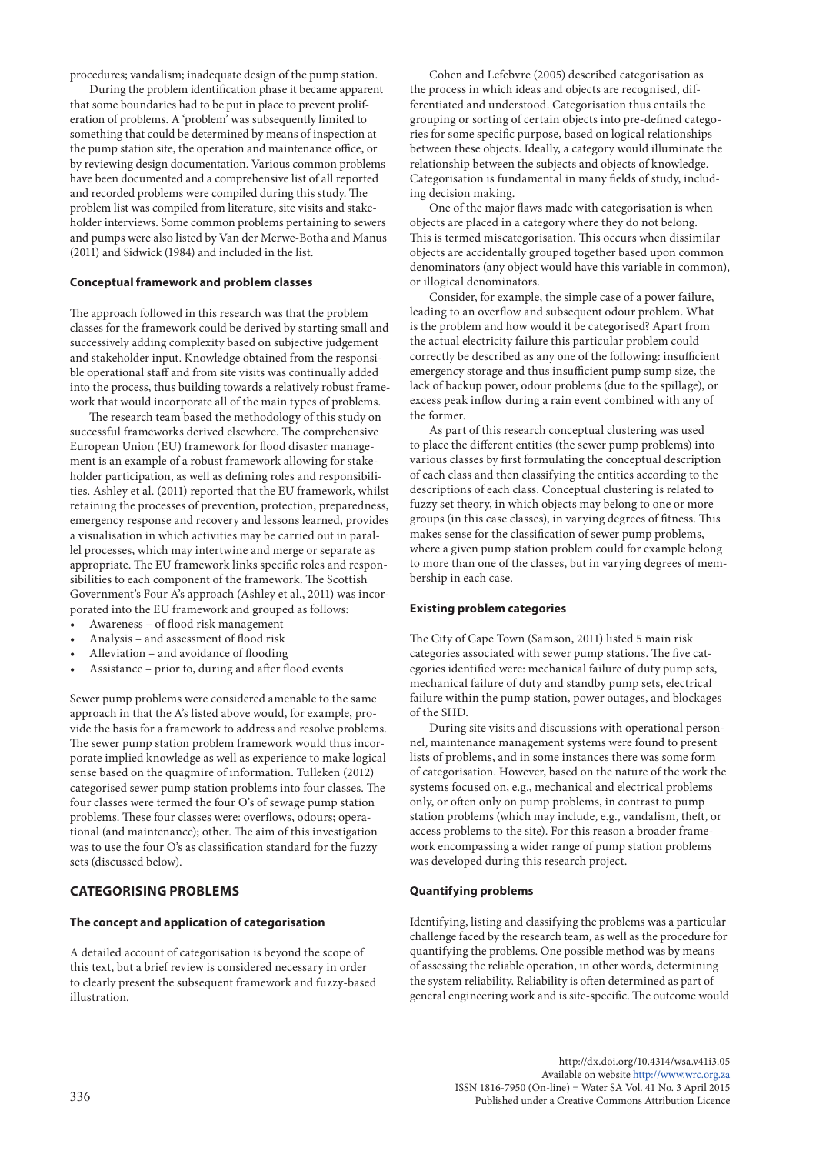procedures; vandalism; inadequate design of the pump station.

During the problem identification phase it became apparent that some boundaries had to be put in place to prevent proliferation of problems. A 'problem' was subsequently limited to something that could be determined by means of inspection at the pump station site, the operation and maintenance office, or by reviewing design documentation. Various common problems have been documented and a comprehensive list of all reported and recorded problems were compiled during this study. The problem list was compiled from literature, site visits and stakeholder interviews. Some common problems pertaining to sewers and pumps were also listed by Van der Merwe-Botha and Manus (2011) and Sidwick (1984) and included in the list.

### **Conceptual framework and problem classes**

The approach followed in this research was that the problem classes for the framework could be derived by starting small and successively adding complexity based on subjective judgement and stakeholder input. Knowledge obtained from the responsible operational staff and from site visits was continually added into the process, thus building towards a relatively robust framework that would incorporate all of the main types of problems.

The research team based the methodology of this study on successful frameworks derived elsewhere. The comprehensive European Union (EU) framework for flood disaster management is an example of a robust framework allowing for stakeholder participation, as well as defining roles and responsibilities. Ashley et al. (2011) reported that the EU framework, whilst retaining the processes of prevention, protection, preparedness, emergency response and recovery and lessons learned, provides a visualisation in which activities may be carried out in parallel processes, which may intertwine and merge or separate as appropriate. The EU framework links specific roles and responsibilities to each component of the framework. The Scottish Government's Four A's approach (Ashley et al., 2011) was incorporated into the EU framework and grouped as follows:

- Awareness of flood risk management
- Analysis and assessment of flood risk
- Alleviation and avoidance of flooding
- Assistance prior to, during and after flood events

Sewer pump problems were considered amenable to the same approach in that the A's listed above would, for example, provide the basis for a framework to address and resolve problems. The sewer pump station problem framework would thus incorporate implied knowledge as well as experience to make logical sense based on the quagmire of information. Tulleken (2012) categorised sewer pump station problems into four classes. The four classes were termed the four O's of sewage pump station problems. These four classes were: overflows, odours; operational (and maintenance); other. The aim of this investigation was to use the four O's as classification standard for the fuzzy sets (discussed below).

## **Categorising problems**

#### **The concept and application of categorisation**

A detailed account of categorisation is beyond the scope of this text, but a brief review is considered necessary in order to clearly present the subsequent framework and fuzzy-based illustration.

Cohen and Lefebvre (2005) described categorisation as the process in which ideas and objects are recognised, differentiated and understood. Categorisation thus entails the grouping or sorting of certain objects into pre-defined categories for some specific purpose, based on logical relationships between these objects. Ideally, a category would illuminate the relationship between the subjects and objects of knowledge. Categorisation is fundamental in many fields of study, including decision making.

One of the major flaws made with categorisation is when objects are placed in a category where they do not belong. This is termed miscategorisation. This occurs when dissimilar objects are accidentally grouped together based upon common denominators (any object would have this variable in common), or illogical denominators.

Consider, for example, the simple case of a power failure, leading to an overflow and subsequent odour problem. What is the problem and how would it be categorised? Apart from the actual electricity failure this particular problem could correctly be described as any one of the following: insufficient emergency storage and thus insufficient pump sump size, the lack of backup power, odour problems (due to the spillage), or excess peak inflow during a rain event combined with any of the former.

As part of this research conceptual clustering was used to place the different entities (the sewer pump problems) into various classes by first formulating the conceptual description of each class and then classifying the entities according to the descriptions of each class. Conceptual clustering is related to fuzzy set theory, in which objects may belong to one or more groups (in this case classes), in varying degrees of fitness. This makes sense for the classification of sewer pump problems, where a given pump station problem could for example belong to more than one of the classes, but in varying degrees of membership in each case.

#### **Existing problem categories**

The City of Cape Town (Samson, 2011) listed 5 main risk categories associated with sewer pump stations. The five categories identified were: mechanical failure of duty pump sets, mechanical failure of duty and standby pump sets, electrical failure within the pump station, power outages, and blockages of the SHD.

During site visits and discussions with operational personnel, maintenance management systems were found to present lists of problems, and in some instances there was some form of categorisation. However, based on the nature of the work the systems focused on, e.g., mechanical and electrical problems only, or often only on pump problems, in contrast to pump station problems (which may include, e.g., vandalism, theft, or access problems to the site). For this reason a broader framework encompassing a wider range of pump station problems was developed during this research project.

#### **Quantifying problems**

Identifying, listing and classifying the problems was a particular challenge faced by the research team, as well as the procedure for quantifying the problems. One possible method was by means of assessing the reliable operation, in other words, determining the system reliability. Reliability is often determined as part of general engineering work and is site-specific. The outcome would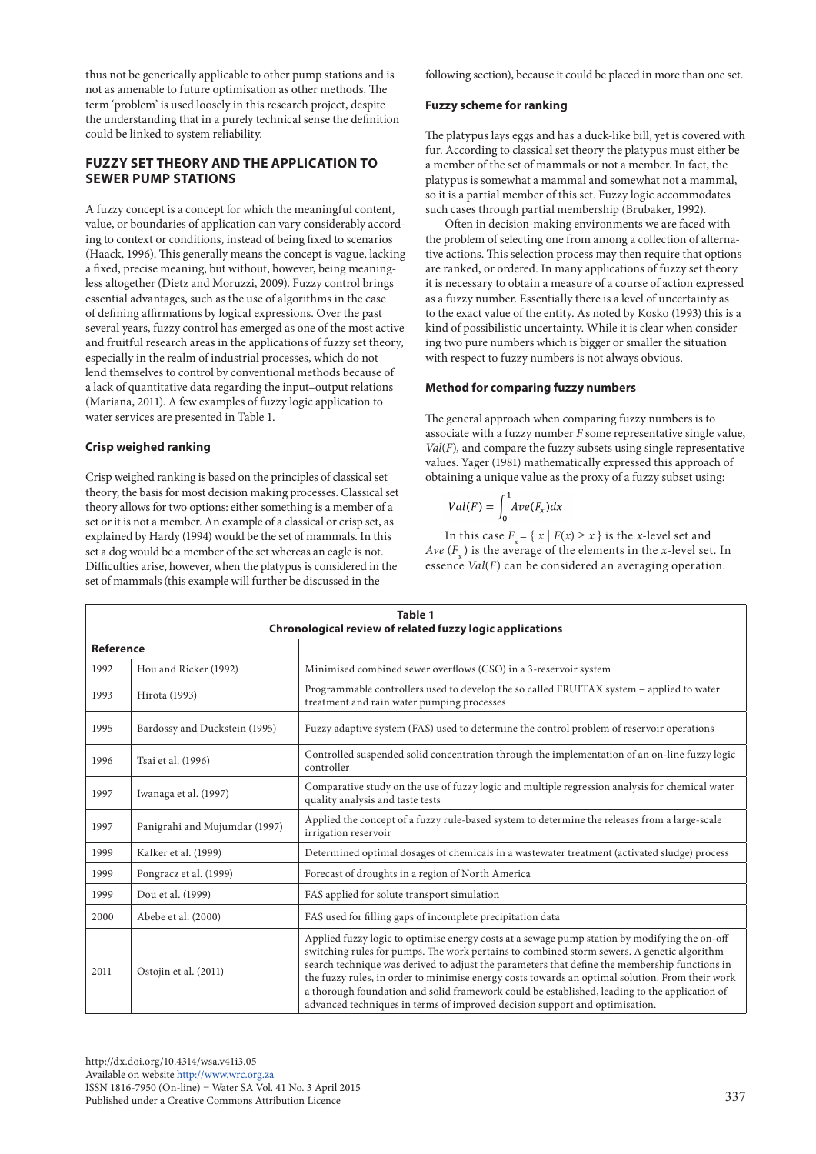thus not be generically applicable to other pump stations and is not as amenable to future optimisation as other methods. The term 'problem' is used loosely in this research project, despite the understanding that in a purely technical sense the definition could be linked to system reliability.

## **Fuzzy set theory and the application to sewer pump stations**

A fuzzy concept is a concept for which the meaningful content, value, or boundaries of application can vary considerably according to context or conditions, instead of being fixed to scenarios (Haack, 1996). This generally means the concept is vague, lacking a fixed, precise meaning, but without, however, being meaningless altogether (Dietz and Moruzzi, 2009). Fuzzy control brings essential advantages, such as the use of algorithms in the case of defining affirmations by logical expressions. Over the past several years, fuzzy control has emerged as one of the most active and fruitful research areas in the applications of fuzzy set theory, especially in the realm of industrial processes, which do not lend themselves to control by conventional methods because of a lack of quantitative data regarding the input–output relations (Mariana, 2011). A few examples of fuzzy logic application to water services are presented in Table 1.

## **Crisp weighed ranking**

Crisp weighed ranking is based on the principles of classical set theory, the basis for most decision making processes. Classical set theory allows for two options: either something is a member of a set or it is not a member. An example of a classical or crisp set, as explained by Hardy (1994) would be the set of mammals. In this set a dog would be a member of the set whereas an eagle is not. Difficulties arise, however, when the platypus is considered in the set of mammals (this example will further be discussed in the

following section), because it could be placed in more than one set.

## **Fuzzy scheme for ranking**

The platypus lays eggs and has a duck-like bill, yet is covered with fur. According to classical set theory the platypus must either be a member of the set of mammals or not a member. In fact, the platypus is somewhat a mammal and somewhat not a mammal, so it is a partial member of this set. Fuzzy logic accommodates such cases through partial membership (Brubaker, 1992).

Often in decision-making environments we are faced with the problem of selecting one from among a collection of alternative actions. This selection process may then require that options are ranked, or ordered. In many applications of fuzzy set theory it is necessary to obtain a measure of a course of action expressed as a fuzzy number. Essentially there is a level of uncertainty as to the exact value of the entity. As noted by Kosko (1993) this is a kind of possibilistic uncertainty. While it is clear when considering two pure numbers which is bigger or smaller the situation with respect to fuzzy numbers is not always obvious.

## **Method for comparing fuzzy numbers**

The general approach when comparing fuzzy numbers is to associate with a fuzzy number *F* some representative single value, *Val*(*F*)*,* and compare the fuzzy subsets using single representative values. Yager (1981) mathematically expressed this approach of obtaining a unique value as the proxy of a fuzzy subset using:

$$
Val(F) = \int_0^1 Ave(F_x) dx
$$

In this case  $F = \{ x \mid F(x) \ge x \}$  is the *x*-level set and *Ave*  $(F_n)$  is the average of the elements in the *x*-level set. In essence *Val*(*F*) can be considered an averaging operation.

| Table 1<br>Chronological review of related fuzzy logic applications |                               |                                                                                                                                                                                                                                                                                                                                                                                                                                                                                                                                                                                 |  |  |
|---------------------------------------------------------------------|-------------------------------|---------------------------------------------------------------------------------------------------------------------------------------------------------------------------------------------------------------------------------------------------------------------------------------------------------------------------------------------------------------------------------------------------------------------------------------------------------------------------------------------------------------------------------------------------------------------------------|--|--|
| <b>Reference</b>                                                    |                               |                                                                                                                                                                                                                                                                                                                                                                                                                                                                                                                                                                                 |  |  |
| 1992                                                                | Hou and Ricker (1992)         | Minimised combined sewer overflows (CSO) in a 3-reservoir system                                                                                                                                                                                                                                                                                                                                                                                                                                                                                                                |  |  |
| 1993                                                                | Hirota (1993)                 | Programmable controllers used to develop the so called FRUITAX system - applied to water<br>treatment and rain water pumping processes                                                                                                                                                                                                                                                                                                                                                                                                                                          |  |  |
| 1995                                                                | Bardossy and Duckstein (1995) | Fuzzy adaptive system (FAS) used to determine the control problem of reservoir operations                                                                                                                                                                                                                                                                                                                                                                                                                                                                                       |  |  |
| 1996                                                                | Tsai et al. (1996)            | Controlled suspended solid concentration through the implementation of an on-line fuzzy logic<br>controller                                                                                                                                                                                                                                                                                                                                                                                                                                                                     |  |  |
| 1997                                                                | Iwanaga et al. (1997)         | Comparative study on the use of fuzzy logic and multiple regression analysis for chemical water<br>quality analysis and taste tests                                                                                                                                                                                                                                                                                                                                                                                                                                             |  |  |
| 1997                                                                | Panigrahi and Mujumdar (1997) | Applied the concept of a fuzzy rule-based system to determine the releases from a large-scale<br>irrigation reservoir                                                                                                                                                                                                                                                                                                                                                                                                                                                           |  |  |
| 1999                                                                | Kalker et al. (1999)          | Determined optimal dosages of chemicals in a wastewater treatment (activated sludge) process                                                                                                                                                                                                                                                                                                                                                                                                                                                                                    |  |  |
| 1999                                                                | Pongracz et al. (1999)        | Forecast of droughts in a region of North America                                                                                                                                                                                                                                                                                                                                                                                                                                                                                                                               |  |  |
| 1999                                                                | Dou et al. (1999)             | FAS applied for solute transport simulation                                                                                                                                                                                                                                                                                                                                                                                                                                                                                                                                     |  |  |
| 2000                                                                | Abebe et al. (2000)           | FAS used for filling gaps of incomplete precipitation data                                                                                                                                                                                                                                                                                                                                                                                                                                                                                                                      |  |  |
| 2011                                                                | Ostojin et al. (2011)         | Applied fuzzy logic to optimise energy costs at a sewage pump station by modifying the on-off<br>switching rules for pumps. The work pertains to combined storm sewers. A genetic algorithm<br>search technique was derived to adjust the parameters that define the membership functions in<br>the fuzzy rules, in order to minimise energy costs towards an optimal solution. From their work<br>a thorough foundation and solid framework could be established, leading to the application of<br>advanced techniques in terms of improved decision support and optimisation. |  |  |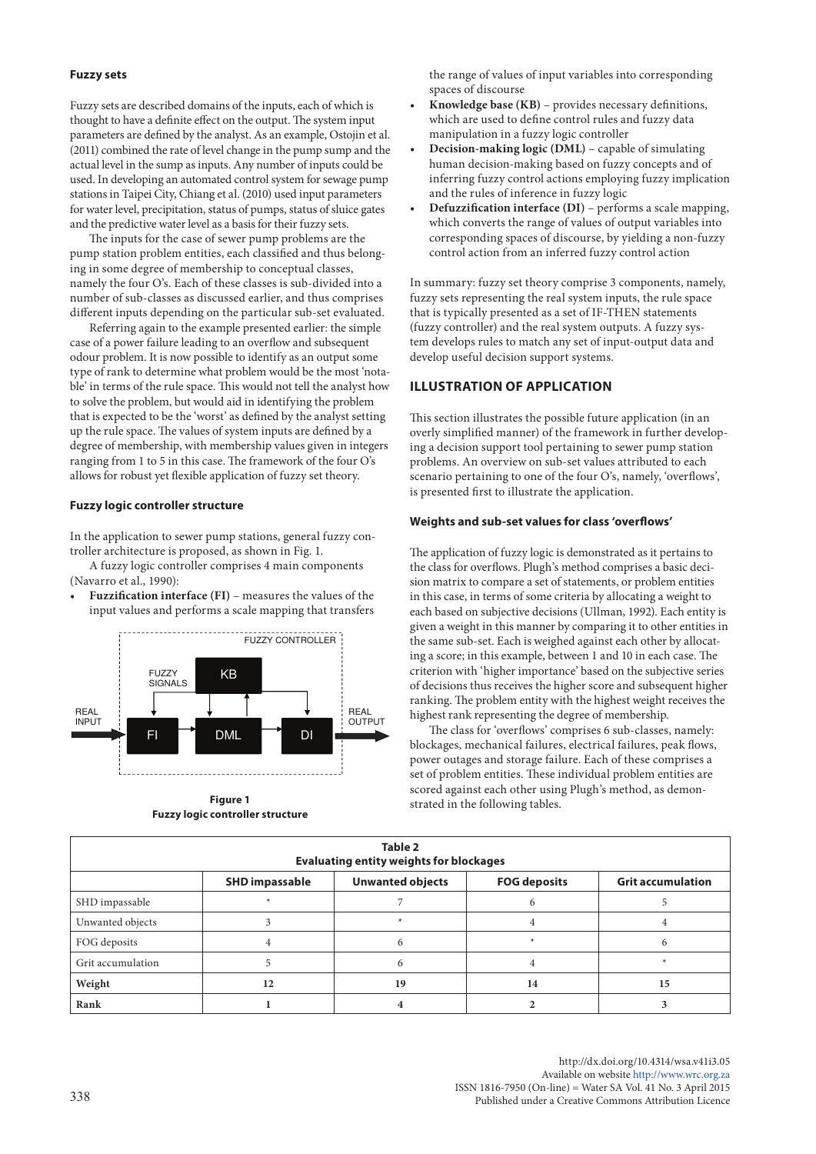#### **Fuzzy sets**

Fuzzy sets are described domains of the inputs, each of which is thought to have a definite effect on the output. The system input parameters are defined by the analyst. As an example, Ostojin et al. (2011) combined the rate of level change in the pump sump and the actual level in the sump as inputs. Any number of inputs could be used. In developing an automated control system for sewage pump stations in Taipei City, Chiang et al. (2010) used input parameters for water level, precipitation, status of pumps, status of sluice gates and the predictive water level as a basis for their fuzzy sets.

The inputs for the case of sewer pump problems are the pump station problem entities, each classified and thus belonging in some degree of membership to conceptual classes, namely the four O's. Each of these classes is sub-divided into a number of sub-classes as discussed earlier, and thus comprises different inputs depending on the particular sub-set evaluated.

Referring again to the example presented earlier: the simple case of a power failure leading to an overflow and subsequent odour problem. It is now possible to identify as an output some type of rank to determine what problem would be the most 'notable' in terms of the rule space. This would not tell the analyst how to solve the problem, but would aid in identifying the problem that is expected to be the 'worst' as defined by the analyst setting up the rule space. The values of system inputs are defined by a degree of membership, with membership values given in integers ranging from 1 to 5 in this case. The framework of the four O's allows for robust yet flexible application of fuzzy set theory.

### **Fuzzy logic controller structure**

In the application to sewer pump stations, general fuzzy controller architecture is proposed, as shown in Fig. 1.

A fuzzy logic controller comprises 4 main components (Navarro et al., 1990):

**Fuzzification interface (FI)** – measures the values of the input values and performs a scale mapping that transfers



**Figure 1 Fuzzy logic controller structure**

the range of values of input variables into corresponding spaces of discourse

- **Knowledge base (KB)** provides necessary definitions, which are used to define control rules and fuzzy data manipulation in a fuzzy logic controller
- **Decision-making logic (DML)** capable of simulating human decision-making based on fuzzy concepts and of inferring fuzzy control actions employing fuzzy implication and the rules of inference in fuzzy logic
- **Defuzzification interface (DI)** performs a scale mapping, which converts the range of values of output variables into corresponding spaces of discourse, by yielding a non-fuzzy control action from an inferred fuzzy control action

In summary: fuzzy set theory comprise 3 components, namely, fuzzy sets representing the real system inputs, the rule space that is typically presented as a set of IF-THEN statements (fuzzy controller) and the real system outputs. A fuzzy system develops rules to match any set of input-output data and develop useful decision support systems.

## **Illustration of application**

This section illustrates the possible future application (in an overly simplified manner) of the framework in further developing a decision support tool pertaining to sewer pump station problems. An overview on sub-set values attributed to each scenario pertaining to one of the four O's, namely, 'overflows', is presented first to illustrate the application.

#### **Weights and sub-set values for class 'overflows'**

The application of fuzzy logic is demonstrated as it pertains to the class for overflows. Plugh's method comprises a basic decision matrix to compare a set of statements, or problem entities in this case, in terms of some criteria by allocating a weight to each based on subjective decisions (Ullman, 1992). Each entity is given a weight in this manner by comparing it to other entities in the same sub-set. Each is weighed against each other by allocating a score; in this example, between 1 and 10 in each case. The criterion with 'higher importance' based on the subjective series of decisions thus receives the higher score and subsequent higher ranking. The problem entity with the highest weight receives the highest rank representing the degree of membership.

The class for 'overflows' comprises 6 sub-classes, namely: blockages, mechanical failures, electrical failures, peak flows, power outages and storage failure. Each of these comprises a set of problem entities. These individual problem entities are scored against each other using Plugh's method, as demonstrated in the following tables.

| Table 2<br><b>Evaluating entity weights for blockages</b>                                           |    |    |        |        |  |
|-----------------------------------------------------------------------------------------------------|----|----|--------|--------|--|
| <b>Grit accumulation</b><br><b>Unwanted objects</b><br><b>FOG deposits</b><br><b>SHD</b> impassable |    |    |        |        |  |
| SHD impassable                                                                                      |    |    |        |        |  |
| Unwanted objects                                                                                    |    |    |        |        |  |
| FOG deposits                                                                                        |    | 6  | $\ast$ |        |  |
| Grit accumulation                                                                                   |    |    | 4      | $\ast$ |  |
| Weight                                                                                              | 12 | 19 | 14     | 15     |  |
| Rank                                                                                                |    |    |        |        |  |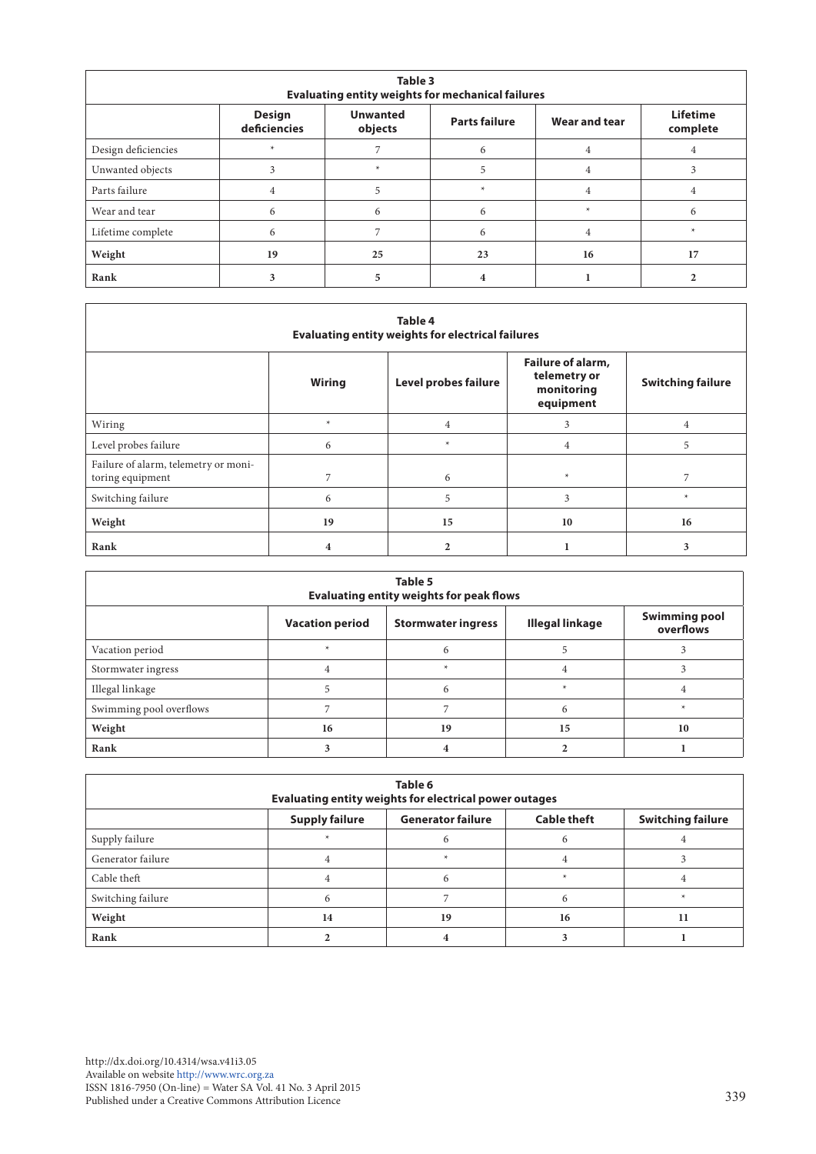| Table 3<br>Evaluating entity weights for mechanical failures |                               |                            |                      |                      |                             |
|--------------------------------------------------------------|-------------------------------|----------------------------|----------------------|----------------------|-----------------------------|
|                                                              | <b>Design</b><br>deficiencies | <b>Unwanted</b><br>objects | <b>Parts failure</b> | <b>Wear and tear</b> | <b>Lifetime</b><br>complete |
| Design deficiencies                                          | $\star$                       |                            | 6                    | 4                    | 4                           |
| Unwanted objects                                             |                               |                            | 5                    | 4                    |                             |
| Parts failure                                                | 4                             |                            |                      |                      |                             |
| Wear and tear                                                | h                             |                            | 6                    | $\ast$               |                             |
| Lifetime complete                                            | 6                             |                            | 6                    | 4                    | $\star$                     |
| Weight                                                       | 19                            | 25                         | 23                   | 16                   | 17                          |
| Rank                                                         |                               | 5                          | 4                    |                      |                             |

| Table 4<br><b>Evaluating entity weights for electrical failures</b> |                                                                                                                            |              |                |        |  |
|---------------------------------------------------------------------|----------------------------------------------------------------------------------------------------------------------------|--------------|----------------|--------|--|
|                                                                     | Failure of alarm,<br>telemetry or<br>Level probes failure<br><b>Switching failure</b><br>Wiring<br>monitoring<br>equipment |              |                |        |  |
| Wiring                                                              | $\ast$                                                                                                                     | 4            | 3              | 4      |  |
| Level probes failure                                                | 6                                                                                                                          | $\ast$       | $\overline{4}$ | 5      |  |
| Failure of alarm, telemetry or moni-<br>toring equipment            | 7                                                                                                                          | 6            | $\ast$         |        |  |
| Switching failure                                                   | 6                                                                                                                          | 5            | 3              | $\ast$ |  |
| Weight                                                              | 19                                                                                                                         | 15           | 10             | 16     |  |
| Rank                                                                | $\overline{\mathbf{4}}$                                                                                                    | $\mathbf{2}$ |                | 3      |  |

| Table 5<br><b>Evaluating entity weights for peak flows</b> |                                                                                                             |    |         |    |  |  |
|------------------------------------------------------------|-------------------------------------------------------------------------------------------------------------|----|---------|----|--|--|
|                                                            | <b>Swimming pool</b><br>Illegal linkage<br><b>Vacation period</b><br><b>Stormwater ingress</b><br>overflows |    |         |    |  |  |
| Vacation period                                            | ⊁                                                                                                           | 6  |         |    |  |  |
| Stormwater ingress                                         | 4                                                                                                           |    | 4       |    |  |  |
| Illegal linkage                                            |                                                                                                             | 6  | $\star$ | 4  |  |  |
| Swimming pool overflows                                    |                                                                                                             |    | 6       |    |  |  |
| Weight                                                     | 16                                                                                                          | 19 | 15      | 10 |  |  |
| Rank                                                       |                                                                                                             |    |         |    |  |  |

| Table 6<br>Evaluating entity weights for electrical power outages |                                                                                                     |    |    |    |  |
|-------------------------------------------------------------------|-----------------------------------------------------------------------------------------------------|----|----|----|--|
|                                                                   | <b>Cable theft</b><br><b>Supply failure</b><br><b>Generator failure</b><br><b>Switching failure</b> |    |    |    |  |
| Supply failure                                                    |                                                                                                     |    |    |    |  |
| Generator failure                                                 |                                                                                                     |    |    |    |  |
| Cable theft                                                       |                                                                                                     | h  |    |    |  |
| Switching failure                                                 | 6                                                                                                   |    | 6  |    |  |
| Weight                                                            | 14                                                                                                  | 19 | 16 | 11 |  |
| Rank                                                              |                                                                                                     |    |    |    |  |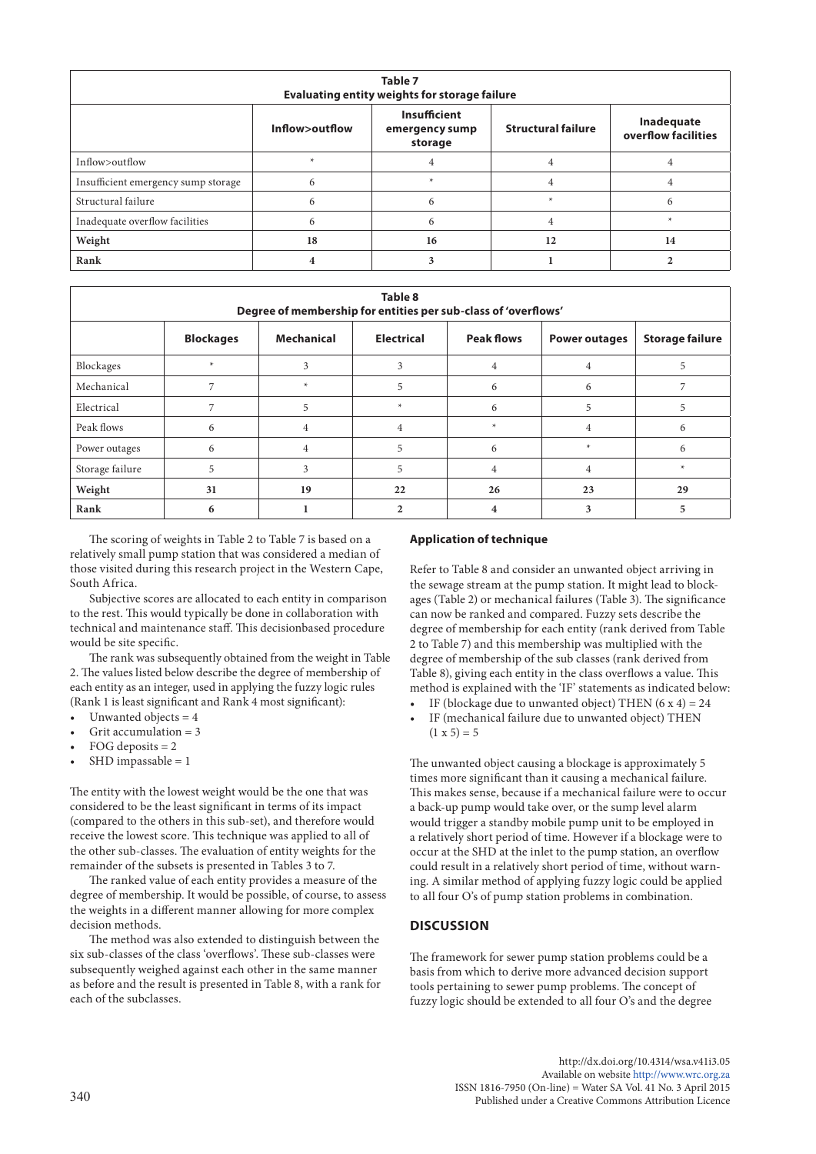| Table 7<br><b>Evaluating entity weights for storage failure</b> |                |                                                  |                           |                                   |  |
|-----------------------------------------------------------------|----------------|--------------------------------------------------|---------------------------|-----------------------------------|--|
|                                                                 | Inflow>outflow | <b>Insufficient</b><br>emergency sump<br>storage | <b>Structural failure</b> | Inadequate<br>overflow facilities |  |
| Inflow>outflow                                                  |                | 4                                                | 4                         | 4                                 |  |
| Insufficient emergency sump storage                             | 6              | ∗                                                | 4                         | 4                                 |  |
| Structural failure                                              | 6              | 6                                                | $\star$                   | h                                 |  |
| Inadequate overflow facilities                                  | 6              | b                                                | 4                         |                                   |  |
| Weight                                                          | 18             | 16                                               | 12                        | 14                                |  |
| Rank                                                            |                |                                                  |                           |                                   |  |

| Table 8<br>Degree of membership for entities per sub-class of 'overflows' |                  |            |                   |                   |                      |                        |
|---------------------------------------------------------------------------|------------------|------------|-------------------|-------------------|----------------------|------------------------|
|                                                                           | <b>Blockages</b> | Mechanical | <b>Electrical</b> | <b>Peak flows</b> | <b>Power outages</b> | <b>Storage failure</b> |
| Blockages                                                                 |                  | 3          |                   | 4                 | 4                    |                        |
| Mechanical                                                                |                  | $\ast$     | C.                | 6                 | 6                    |                        |
| Electrical                                                                |                  | 5          | $\ast$            | 6                 | 5                    | 5                      |
| Peak flows                                                                | 6                | 4          | 4                 | $\ast$            | 4                    | 6                      |
| Power outages                                                             | 6                | 4          | 5                 | 6                 | $\ast$               | 6                      |
| Storage failure                                                           |                  | 3          |                   | 4                 | 4                    | $\ast$                 |
| Weight                                                                    | 31               | 19         | 22                | 26                | 23                   | 29                     |
| Rank                                                                      | n                |            |                   |                   |                      | 5                      |

The scoring of weights in Table 2 to Table 7 is based on a relatively small pump station that was considered a median of those visited during this research project in the Western Cape, South Africa.

Subjective scores are allocated to each entity in comparison to the rest. This would typically be done in collaboration with technical and maintenance staff. This decisionbased procedure would be site specific.

The rank was subsequently obtained from the weight in Table 2. The values listed below describe the degree of membership of each entity as an integer, used in applying the fuzzy logic rules (Rank 1 is least significant and Rank 4 most significant):

- Unwanted objects  $= 4$
- Grit accumulation  $= 3$
- FOG deposits  $= 2$
- $SHD$  impassable = 1

The entity with the lowest weight would be the one that was considered to be the least significant in terms of its impact (compared to the others in this sub-set), and therefore would receive the lowest score. This technique was applied to all of the other sub-classes. The evaluation of entity weights for the remainder of the subsets is presented in Tables 3 to 7.

The ranked value of each entity provides a measure of the degree of membership. It would be possible, of course, to assess the weights in a different manner allowing for more complex decision methods.

The method was also extended to distinguish between the six sub-classes of the class 'overflows'. These sub-classes were subsequently weighed against each other in the same manner as before and the result is presented in Table 8, with a rank for each of the subclasses.

#### **Application of technique**

Refer to Table 8 and consider an unwanted object arriving in the sewage stream at the pump station. It might lead to blockages (Table 2) or mechanical failures (Table 3). The significance can now be ranked and compared. Fuzzy sets describe the degree of membership for each entity (rank derived from Table 2 to Table 7) and this membership was multiplied with the degree of membership of the sub classes (rank derived from Table 8), giving each entity in the class overflows a value. This method is explained with the 'IF' statements as indicated below:

- IF (blockage due to unwanted object) THEN  $(6 \times 4) = 24$
- IF (mechanical failure due to unwanted object) THEN  $(1 \times 5) = 5$

The unwanted object causing a blockage is approximately 5 times more significant than it causing a mechanical failure. This makes sense, because if a mechanical failure were to occur a back-up pump would take over, or the sump level alarm would trigger a standby mobile pump unit to be employed in a relatively short period of time. However if a blockage were to occur at the SHD at the inlet to the pump station, an overflow could result in a relatively short period of time, without warning. A similar method of applying fuzzy logic could be applied to all four O's of pump station problems in combination.

## **DISCUSSION**

The framework for sewer pump station problems could be a basis from which to derive more advanced decision support tools pertaining to sewer pump problems. The concept of fuzzy logic should be extended to all four O's and the degree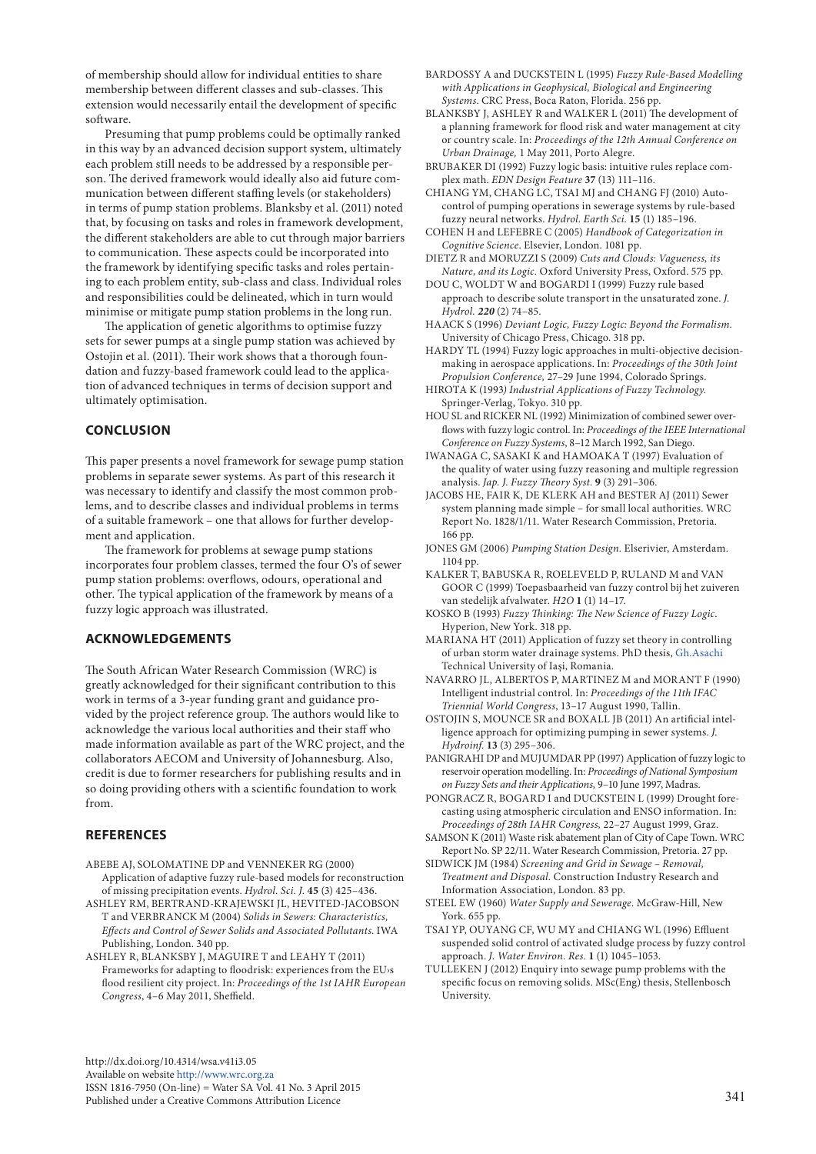of membership should allow for individual entities to share membership between different classes and sub-classes. This extension would necessarily entail the development of specific software.

Presuming that pump problems could be optimally ranked in this way by an advanced decision support system, ultimately each problem still needs to be addressed by a responsible person. The derived framework would ideally also aid future communication between different staffing levels (or stakeholders) in terms of pump station problems. Blanksby et al. (2011) noted that, by focusing on tasks and roles in framework development, the different stakeholders are able to cut through major barriers to communication. These aspects could be incorporated into the framework by identifying specific tasks and roles pertaining to each problem entity, sub-class and class. Individual roles and responsibilities could be delineated, which in turn would minimise or mitigate pump station problems in the long run.

The application of genetic algorithms to optimise fuzzy sets for sewer pumps at a single pump station was achieved by Ostojin et al. (2011). Their work shows that a thorough foundation and fuzzy-based framework could lead to the application of advanced techniques in terms of decision support and ultimately optimisation.

### **CONCLUSION**

This paper presents a novel framework for sewage pump station problems in separate sewer systems. As part of this research it was necessary to identify and classify the most common problems, and to describe classes and individual problems in terms of a suitable framework – one that allows for further development and application.

The framework for problems at sewage pump stations incorporates four problem classes, termed the four O's of sewer pump station problems: overflows, odours, operational and other. The typical application of the framework by means of a fuzzy logic approach was illustrated.

## **ACKNOWLEDGEMENTS**

The South African Water Research Commission (WRC) is greatly acknowledged for their significant contribution to this work in terms of a 3-year funding grant and guidance provided by the project reference group. The authors would like to acknowledge the various local authorities and their staff who made information available as part of the WRC project, and the collaborators AECOM and University of Johannesburg. Also, credit is due to former researchers for publishing results and in so doing providing others with a scientific foundation to work from.

## **REFERENCES**

- ABEBE AJ, SOLOMATINE DP and VENNEKER RG (2000) Application of adaptive fuzzy rule-based models for reconstruction of missing precipitation events. *Hydrol. Sci. J.* **45** (3) 425–436.
- ASHLEY RM, BERTRAND-KRAJEWSKI JL, HEVITED-JACOBSON T and VERBRANCK M (2004) *Solids in Sewers: Characteristics, Effects and Control of Sewer Solids and Associated Pollutants*. IWA Publishing, London. 340 pp.
- ASHLEY R, BLANKSBY J, MAGUIRE T and LEAHY T (2011) Frameworks for adapting to floodrisk: experiences from the EU›s flood resilient city project. In: *Proceedings of the 1st IAHR European Congress*, 4–6 May 2011, Sheffield.

[http://dx.doi.org/10.4314/wsa.v41i3](http://dx.doi.org/10.4314/wsa.v41i3.05%0D).05 Available on website<http://www.wrc.org.za> ISSN 1816-7950 (On-line) = Water SA Vol. 41 No. 3 April 2015 Published under a Creative Commons Attribution Licence

- BARDOSSY A and DUCKSTEIN L (1995) *Fuzzy Rule-Based Modelling with Applications in Geophysical, Biological and Engineering Systems*. CRC Press, Boca Raton, Florida. 256 pp.
- BLANKSBY J, ASHLEY R and WALKER L (2011) The development of a planning framework for flood risk and water management at city or country scale. In: *Proceedings of the 12th Annual Conference on Urban Drainage,* 1 May 2011, Porto Alegre.
- BRUBAKER DI (1992) Fuzzy logic basis: intuitive rules replace complex math. *EDN Design Feature* **37** (13) 111–116.
- CHIANG YM, CHANG LC, TSAI MJ and CHANG FJ (2010) Autocontrol of pumping operations in sewerage systems by rule-based fuzzy neural networks. *Hydrol. Earth Sci.* **15** (1) 185–196.
- COHEN H and LEFEBRE C (2005) *Handbook of Categorization in Cognitive Science*. Elsevier, London. 1081 pp.
- DIETZ R and MORUZZI S (2009) *Cuts and Clouds: Vagueness, its Nature, and its Logic.* Oxford University Press, Oxford. 575 pp.
- DOU C, WOLDT W and BOGARDI I (1999) Fuzzy rule based approach to describe solute transport in the unsaturated zone. *J. Hydrol. 220* (2) 74–85.
- HAACK S (1996) *Deviant Logic, Fuzzy Logic: Beyond the Formalism.*  University of Chicago Press, Chicago. 318 pp.
- HARDY TL (1994) Fuzzy logic approaches in multi-objective decisionmaking in aerospace applications. In: *Proceedings of the 30th Joint Propulsion Conference,* 27–29 June 1994, Colorado Springs.
- HIROTA K (1993*) Industrial Applications of Fuzzy Technology.*  Springer-Verlag, Tokyo. 310 pp.
- HOU SL and RICKER NL (1992) Minimization of combined sewer overflows with fuzzy logic control. In: *Proceedings of the IEEE International Conference on Fuzzy Systems*, 8–12 March 1992, San Diego.
- IWANAGA C, SASAKI K and HAMOAKA T (1997) Evaluation of the quality of water using fuzzy reasoning and multiple regression analysis. *Jap. J. Fuzzy Theory Syst.* **9** (3) 291–306.
- JACOBS HE, FAIR K, DE KLERK AH and BESTER AJ (2011) Sewer system planning made simple – for small local authorities. WRC Report No. 1828/1/11. Water Research Commission, Pretoria. 166 pp.
- JONES GM (2006) *Pumping Station Design.* Elserivier, Amsterdam. 1104 pp.
- KALKER T, BABUSKA R, ROELEVELD P, RULAND M and VAN GOOR C (1999) Toepasbaarheid van fuzzy control bij het zuiveren van stedelijk afvalwater. *H2O* **1** (1) 14–17.
- KOSKO B (1993) *Fuzzy Thinking: The New Science of Fuzzy Logic*. Hyperion, New York. 318 pp.
- MARIANA HT (2011) Application of fuzzy set theory in controlling of urban storm water drainage systems. PhD thesis, <Gh.Asachi> Technical University of Iaşi, Romania.
- NAVARRO JL, ALBERTOS P, MARTINEZ M and MORANT F (1990) Intelligent industrial control. In: *Proceedings of the 11th IFAC Triennial World Congress*, 13–17 August 1990, Tallin.
- OSTOJIN S, MOUNCE SR and BOXALL JB (2011) An artificial intelligence approach for optimizing pumping in sewer systems. *J. Hydroinf.* **13** (3) 295–306.
- PANIGRAHI DP and MUJUMDAR PP (1997) Application of fuzzy logic to reservoir operation modelling. In: *Proceedings of National Symposium on Fuzzy Sets and their Applications,* 9–10 June 1997, Madras.
- PONGRACZ R, BOGARD I and DUCKSTEIN L (1999) Drought forecasting using atmospheric circulation and ENSO information. In: *Proceedings of 28th IAHR Congress,* 22–27 August 1999, Graz.
- SAMSON K (2011) Waste risk abatement plan of City of Cape Town. WRC Report No. SP 22/11. Water Research Commission, Pretoria. 27 pp.
- SIDWICK JM (1984) *Screening and Grid in Sewage Removal, Treatment and Disposal.* Construction Industry Research and Information Association, London. 83 pp.
- STEEL EW (1960) *Water Supply and Sewerage.* McGraw-Hill, New York. 655 pp.
- TSAI YP, OUYANG CF, WU MY and CHIANG WL (1996) Effluent suspended solid control of activated sludge process by fuzzy control approach. *J. Water Environ. Res.* **1** (1) 1045–1053.
- TULLEKEN J (2012) Enquiry into sewage pump problems with the specific focus on removing solids. MSc(Eng) thesis, Stellenbosch University.